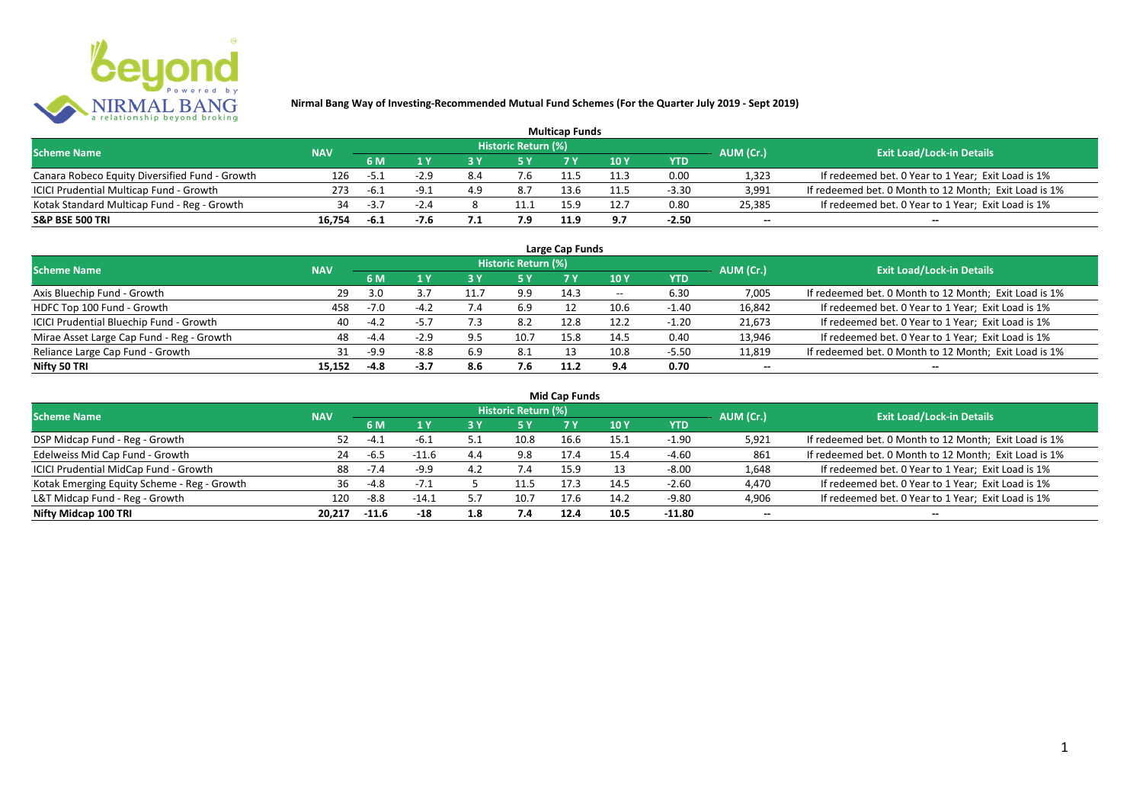

| <b>Multicap Funds</b>                          |            |        |        |     |                            |      |            |         |                          |                                                       |  |  |
|------------------------------------------------|------------|--------|--------|-----|----------------------------|------|------------|---------|--------------------------|-------------------------------------------------------|--|--|
| <b>Scheme Name</b>                             | <b>NAV</b> |        |        |     | <b>Historic Return (%)</b> |      |            |         | AUM (Cr.)                | <b>Exit Load/Lock-in Details</b>                      |  |  |
|                                                |            | 6 M    |        |     |                            |      | 10Y        | YTD     |                          |                                                       |  |  |
| Canara Robeco Equity Diversified Fund - Growth | 126        | $-5.1$ | $-2.9$ | 8.4 | '.ხ                        |      | 11.3       | 0.00    | 1,323                    | If redeemed bet. 0 Year to 1 Year; Exit Load is 1%    |  |  |
| ICICI Prudential Multicap Fund - Growth        | 273        | -6.1   | - q -  | 4.9 | 8.7                        | 13.6 | 11.5       | $-3.30$ | 3,991                    | If redeemed bet. 0 Month to 12 Month; Exit Load is 1% |  |  |
| Kotak Standard Multicap Fund - Reg - Growth    | 34         | -3.,   | $-2.4$ |     | 11.1                       |      |            | 0.80    | 25,385                   | If redeemed bet. 0 Year to 1 Year; Exit Load is 1%    |  |  |
| S&P BSE 500 TRI                                | 16.754     | -6.1   |        |     | 7.9                        |      | <b>a</b> 7 | $-2.50$ | $\overline{\phantom{a}}$ | $\overline{\phantom{a}}$                              |  |  |

| Large Cap Funds<br>Historic Return (%)    |            |        |        |      |      |      |       |            |                          |                                                       |  |  |  |
|-------------------------------------------|------------|--------|--------|------|------|------|-------|------------|--------------------------|-------------------------------------------------------|--|--|--|
| <b>Scheme Name</b>                        | <b>NAV</b> | 6 M    | 1 Y    |      | 5 Y  |      | 10Y   | <b>YTD</b> | AUM (Cr.)                | <b>Exit Load/Lock-in Details</b>                      |  |  |  |
| Axis Bluechip Fund - Growth               | -29        | 3.0    |        | 11.7 | 9.9  | 14.3 | $- -$ | 6.30       | 7,005                    | If redeemed bet. 0 Month to 12 Month; Exit Load is 1% |  |  |  |
| HDFC Top 100 Fund - Growth                | 458        | $-7.0$ | $-4.2$ |      | 6.9  |      | 10.6  | $-1.40$    | 16,842                   | If redeemed bet. 0 Year to 1 Year; Exit Load is 1%    |  |  |  |
| ICICI Prudential Bluechip Fund - Growth   | 40         | $-4.2$ | $-5.7$ |      | 8.2  | 12.8 | 12.2  | $-1.20$    | 21,673                   | If redeemed bet. 0 Year to 1 Year; Exit Load is 1%    |  |  |  |
| Mirae Asset Large Cap Fund - Reg - Growth | 48         | $-4.4$ | $-2.9$ | 9.5  | 10.7 | 15.8 | 14.5  | 0.40       | 13,946                   | If redeemed bet. 0 Year to 1 Year; Exit Load is 1%    |  |  |  |
| Reliance Large Cap Fund - Growth          |            | $-9.9$ | $-8.8$ | 6.9  | 8.1  |      | 10.8  | $-5.50$    | 11,819                   | If redeemed bet. 0 Month to 12 Month; Exit Load is 1% |  |  |  |
| Nifty 50 TRI                              | 15.152     | $-4.8$ | $-3.7$ | 8.6  | 7.6  | 11.2 | 9.4   | 0.70       | $\overline{\phantom{a}}$ | $\overline{\phantom{a}}$                              |  |  |  |

|  |  | <b>Mid Cap Funds</b> |
|--|--|----------------------|
|--|--|----------------------|

| <b>Scheme Name</b>                          | <b>NAV</b> |         |         |     | Historic Return (%) |      |      |            | AUM (Cr.)                | <b>Exit Load/Lock-in Details</b>                      |
|---------------------------------------------|------------|---------|---------|-----|---------------------|------|------|------------|--------------------------|-------------------------------------------------------|
|                                             |            | 6 M     | 1 V     | 3 Y | <b>5 Y</b>          |      | 10 Y | <b>YTD</b> |                          |                                                       |
| DSP Midcap Fund - Reg - Growth              | 52         | -4.     | -6.1    |     | 10.8                | 16.6 | 15.1 | $-1.90$    | 5,921                    | If redeemed bet. 0 Month to 12 Month; Exit Load is 1% |
| Edelweiss Mid Cap Fund - Growth             | 24         | -6.5    | $-11.6$ | 4.4 | 9.8                 | 17.4 | 15.4 | $-4.60$    | 861                      | If redeemed bet. 0 Month to 12 Month; Exit Load is 1% |
| ICICI Prudential MidCap Fund - Growth       | 88         | $-7.4$  | $-9.9$  | 4.2 |                     | 15.9 |      | $-8.00$    | 1,648                    | If redeemed bet. 0 Year to 1 Year; Exit Load is 1%    |
| Kotak Emerging Equity Scheme - Reg - Growth | 36         | -4.8    | $-1.1$  |     | 11.5                | 17.3 | 14.5 | $-2.60$    | 4,470                    | If redeemed bet. 0 Year to 1 Year; Exit Load is 1%    |
| L&T Midcap Fund - Reg - Growth              | 120        | $-8.8$  | $-14.1$ |     | 10.7                |      | 14.2 | $-9.80$    | 4,906                    | If redeemed bet. 0 Year to 1 Year; Exit Load is 1%    |
| Nifty Midcap 100 TRI                        | 20.217     | $-11.6$ | -18     | 1.8 | 7.4                 | 12.4 | 10.5 | -11.80     | $\overline{\phantom{a}}$ | $\!-$                                                 |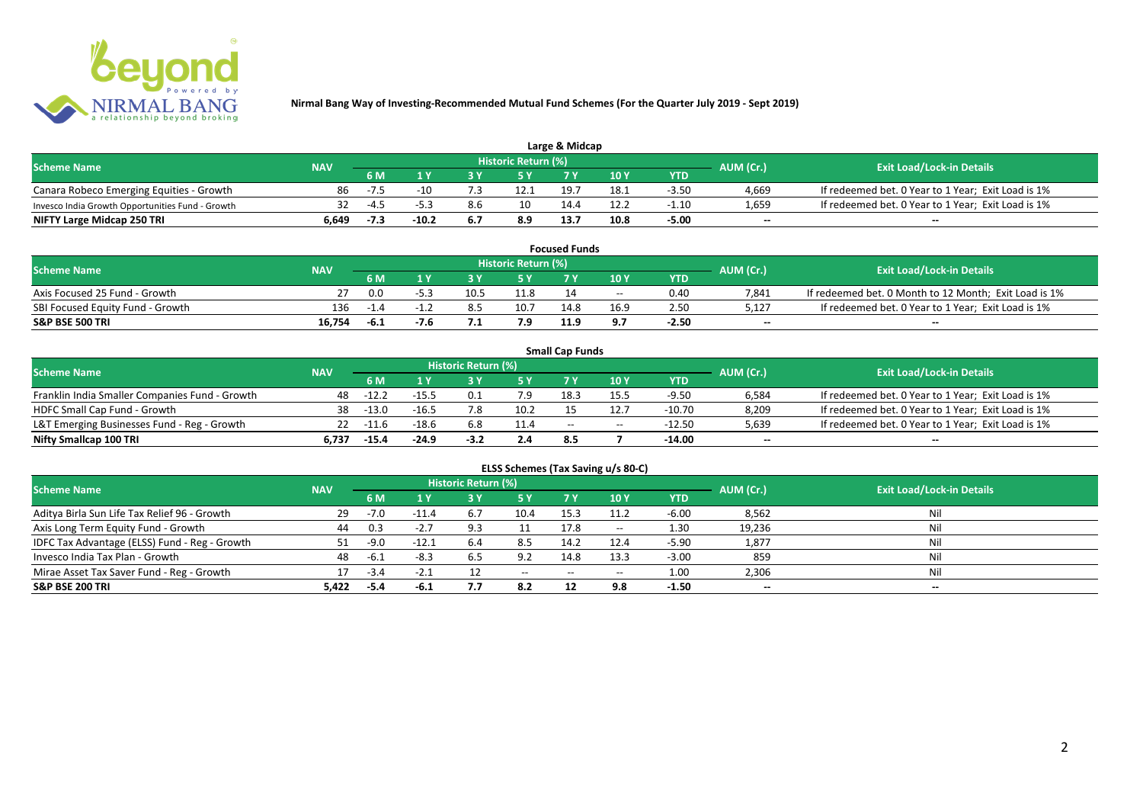

| Large & Midcap                                   |            |                                |         |     |                     |      |      |         |       |                                                    |  |  |
|--------------------------------------------------|------------|--------------------------------|---------|-----|---------------------|------|------|---------|-------|----------------------------------------------------|--|--|
| <b>Scheme Name</b>                               | <b>NAV</b> |                                |         |     | Historic Return (%) |      |      |         |       | <b>Exit Load/Lock-in Details</b>                   |  |  |
|                                                  |            | AUM (Cr.)<br>10Y<br>6 M<br>YTD |         |     |                     |      |      |         |       |                                                    |  |  |
| Canara Robeco Emerging Equities - Growth         | 86         | -7.5                           | -10     |     | 12.1                | 19.7 | 18.1 | $-3.50$ | 4,669 | If redeemed bet. 0 Year to 1 Year; Exit Load is 1% |  |  |
| Invesco India Growth Opportunities Fund - Growth | 32         | $-4.5$                         |         | 8.6 | 10                  |      | 12.2 | $-1.10$ | 1,659 | If redeemed bet. 0 Year to 1 Year; Exit Load is 1% |  |  |
| NIFTY Large Midcap 250 TRI                       | 6.649      | -7.3                           | $-10.2$ | 6.7 | 8.9                 | 13.7 | 10.8 | $-5.00$ | $-$   | $- -$                                              |  |  |

|                                  |            |        |      |      |                     | <b>Focused Funds</b> |       |            |           |                                                       |
|----------------------------------|------------|--------|------|------|---------------------|----------------------|-------|------------|-----------|-------------------------------------------------------|
| <b>Scheme Name</b>               | <b>NAV</b> |        |      |      | Historic Return (%) |                      |       |            | AUM (Cr.) | <b>Exit Load/Lock-in Details</b>                      |
|                                  |            | 6 M    |      |      | <b>EV</b>           |                      | 10 Y  | <b>YTD</b> |           |                                                       |
| Axis Focused 25 Fund - Growth    |            | 0.0    |      | 10.5 | 11.8                |                      | $- -$ | 0.40       | 7.841     | If redeemed bet. 0 Month to 12 Month; Exit Load is 1% |
| SBI Focused Equity Fund - Growth | 136        | $-1.4$ |      |      | 10.7                | 14.8                 | 16.9  | 2.50       | 5,127     | If redeemed bet. 0 Year to 1 Year; Exit Load is 1%    |
| <b>S&amp;P BSE 500 TRI</b>       | 16.754     | -6.1   | -7.6 |      | 7.9                 | 11.9                 | 9.7   | -2.50      | $-$       | $- -$                                                 |

|                                                |            |             |         |                     |      | <b>Small Cap Funds</b> |                                       |                         |                          |                                                    |
|------------------------------------------------|------------|-------------|---------|---------------------|------|------------------------|---------------------------------------|-------------------------|--------------------------|----------------------------------------------------|
| <b>Scheme Name</b>                             | <b>NAV</b> |             |         | Historic Return (%) |      |                        |                                       |                         |                          | <b>Exit Load/Lock-in Details</b>                   |
|                                                |            | 6 M         |         |                     |      |                        | 10 Y                                  | AUM (Cr.)<br><b>YTD</b> |                          |                                                    |
| Franklin India Smaller Companies Fund - Growth | 48         | $-12.2$     | $-15.5$ |                     | 7.9  | 18.3                   | 15.5                                  | $-9.50$                 | 6,584                    | If redeemed bet. 0 Year to 1 Year; Exit Load is 1% |
| HDFC Small Cap Fund - Growth                   | 38         | -13.0       | $-16.5$ | 7.8                 | 10.2 |                        |                                       | $-10.70$                | 8,209                    | If redeemed bet. 0 Year to 1 Year; Exit Load is 1% |
| L&T Emerging Businesses Fund - Reg - Growth    |            | $22 - 11.6$ | $-18.6$ | 6.8                 | 11.4 | $- -$                  | $\hspace{0.05cm}$ – $\hspace{0.05cm}$ | $-12.50$                | 5,639                    | If redeemed bet. 0 Year to 1 Year; Exit Load is 1% |
| Nifty Smallcap 100 TRI                         | 6.737      | $-15.4$     | $-24.9$ | $-3.2$              | 2.4  | 8.5                    |                                       | -14.00                  | $\overline{\phantom{a}}$ | $- -$                                              |

| ELSS Schemes (Tax Saving u/s 80-C)            |            |        |         |                            |                                       |           |       |            |           |                                  |  |  |
|-----------------------------------------------|------------|--------|---------|----------------------------|---------------------------------------|-----------|-------|------------|-----------|----------------------------------|--|--|
| <b>Scheme Name</b>                            | <b>NAV</b> |        |         | <b>Historic Return (%)</b> |                                       |           |       |            | AUM (Cr.) | <b>Exit Load/Lock-in Details</b> |  |  |
|                                               |            | 6 M    | 1 Y     | /3 Y                       | 15 Y                                  | <b>7Y</b> | 10 Y  | <b>YTD</b> |           |                                  |  |  |
| Aditya Birla Sun Life Tax Relief 96 - Growth  | -29        | $-7.0$ | $-11.4$ | 6.7                        | 10.4                                  | 15.3      | 11.2  | $-6.00$    | 8,562     | Nil                              |  |  |
| Axis Long Term Equity Fund - Growth           | 44         | 0.3    | $-2.7$  | 9.3                        |                                       | 17.8      | $- -$ | 1.30       | 19,236    | Nil                              |  |  |
| IDFC Tax Advantage (ELSS) Fund - Reg - Growth |            | $-9.0$ | $-12.1$ | 6.4                        | 8.5                                   | 14.2      | 12.4  | -5.90      | 1,877     | Nil                              |  |  |
| Invesco India Tax Plan - Growth               | 48         | د.6-   | $-8.3$  | 6.5                        | 9.2                                   | 14.8      | 13.3  | $-3.00$    | 859       | Nil                              |  |  |
| Mirae Asset Tax Saver Fund - Reg - Growth     |            | $-3.4$ | $-2.1$  |                            | $\hspace{0.05cm}$ – $\hspace{0.05cm}$ | $- -$     | $- -$ | 1.00       | 2,306     | Nil                              |  |  |
| S&P BSE 200 TRI                               | 5.422      | -5.4   | -6.1    | 7.7                        | 8.2                                   | 12        | 9.8   | $-1.50$    | $\sim$    | $\overline{\phantom{a}}$         |  |  |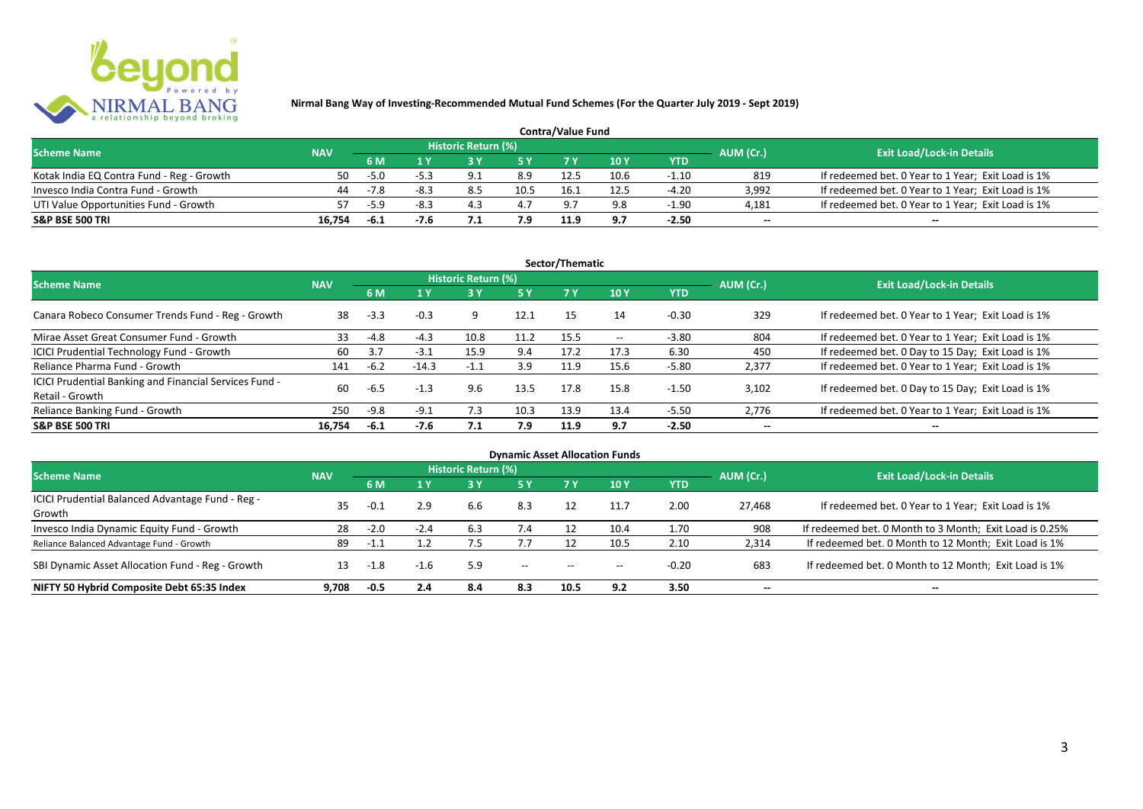

| <b>Contra/Value Fund</b>                  |            |        |        |                     |      |            |      |         |                          |                                                    |  |  |
|-------------------------------------------|------------|--------|--------|---------------------|------|------------|------|---------|--------------------------|----------------------------------------------------|--|--|
| <b>Scheme Name</b>                        | <b>NAV</b> |        |        | Historic Return (%) |      |            |      |         | AUM (Cr.)                | <b>Exit Load/Lock-in Details</b>                   |  |  |
|                                           |            | 6 M    |        |                     |      |            | 10 Y | YTD     |                          |                                                    |  |  |
| Kotak India EQ Contra Fund - Reg - Growth | 50         | $-5.0$ | $-5.3$ |                     | 8.9  | 12.5       | 10.6 | $-1.10$ | 819                      | If redeemed bet. 0 Year to 1 Year; Exit Load is 1% |  |  |
| Invesco India Contra Fund - Growth        | 44         | -7.8   | $-8.3$ |                     | 10.5 | 16.        | 12.5 | $-4.20$ | 3.992                    | If redeemed bet. 0 Year to 1 Year; Exit Load is 1% |  |  |
| UTI Value Opportunities Fund - Growth     |            | $-5.9$ | -8.3   | 4.3                 | 4.7  | $\alpha$ – | 9.8  | $-1.90$ | 4,181                    | If redeemed bet. 0 Year to 1 Year; Exit Load is 1% |  |  |
| S&P BSE 500 TRI                           | 16.754     | -6.1   |        |                     | 7.9  | 11.9       | 9.7  | $-2.50$ | $\overline{\phantom{a}}$ | $\qquad \qquad$                                    |  |  |

|                                                                           |            |        |         |                     |           | Sector/Thematic |                   |            |                          |                                                    |
|---------------------------------------------------------------------------|------------|--------|---------|---------------------|-----------|-----------------|-------------------|------------|--------------------------|----------------------------------------------------|
| <b>Scheme Name</b>                                                        | <b>NAV</b> |        |         | Historic Return (%) |           |                 |                   |            | AUM (Cr.)                | <b>Exit Load/Lock-in Details</b>                   |
|                                                                           |            | 6 M    | 4 Y     |                     | <b>5Y</b> | <b>7Y</b>       | 10Y               | <b>YTD</b> |                          |                                                    |
| Canara Robeco Consumer Trends Fund - Reg - Growth                         | 38         | $-3.3$ | $-0.3$  |                     | 12.1      | 15              | 14                | $-0.30$    | 329                      | If redeemed bet. 0 Year to 1 Year; Exit Load is 1% |
| Mirae Asset Great Consumer Fund - Growth                                  | 33         | $-4.8$ | $-4.3$  | 10.8                | 11.2      | 15.5            | $\hspace{0.05cm}$ | $-3.80$    | 804                      | If redeemed bet. 0 Year to 1 Year; Exit Load is 1% |
| ICICI Prudential Technology Fund - Growth                                 | 60         | 3.7    | $-3.1$  | 15.9                | 9.4       | 17.2            | 17.3              | 6.30       | 450                      | If redeemed bet. 0 Day to 15 Day; Exit Load is 1%  |
| Reliance Pharma Fund - Growth                                             | 141        | $-6.2$ | $-14.3$ | -1.1                | 3.9       | 11.9            | 15.6              | $-5.80$    | 2,377                    | If redeemed bet. 0 Year to 1 Year; Exit Load is 1% |
| ICICI Prudential Banking and Financial Services Fund -<br>Retail - Growth | 60         | $-6.5$ | $-1.3$  | 9.6                 | 13.5      | 17.8            | 15.8              | $-1.50$    | 3.102                    | If redeemed bet. 0 Day to 15 Day; Exit Load is 1%  |
| Reliance Banking Fund - Growth                                            | 250        | $-9.8$ | $-9.1$  | 7.3                 | 10.3      | 13.9            | 13.4              | $-5.50$    | 2.776                    | If redeemed bet. 0 Year to 1 Year; Exit Load is 1% |
| <b>S&amp;P BSE 500 TRI</b>                                                | 16.754     | $-6.1$ | -7.6    | 7.1                 | 7.9       | 11.9            | 9.7               | $-2.50$    | $\overline{\phantom{a}}$ | $- -$                                              |

|                                                            |            |        |        |                            |                          |       | <b>Dynamic Asset Allocation Funds</b> |            |                          |                                                         |
|------------------------------------------------------------|------------|--------|--------|----------------------------|--------------------------|-------|---------------------------------------|------------|--------------------------|---------------------------------------------------------|
| <b>Scheme Name</b>                                         | <b>NAV</b> |        |        | <b>Historic Return (%)</b> |                          |       |                                       |            | AUM (Cr.)                | <b>Exit Load/Lock-in Details</b>                        |
|                                                            |            | 6 M    | 1 Y    | 3 Y                        | 5 Y                      |       | 10Y                                   | <b>YTD</b> |                          |                                                         |
| ICICI Prudential Balanced Advantage Fund - Reg -<br>Growth | 35         | $-0.1$ | 2.9    | 6.6                        | 8.3                      |       |                                       | 2.00       | 27.468                   | If redeemed bet. 0 Year to 1 Year; Exit Load is 1%      |
| Invesco India Dynamic Equity Fund - Growth                 | 28         | $-2.0$ | $-2.4$ | 6.3                        | 7.4                      |       | 10.4                                  | 1.70       | 908                      | If redeemed bet. 0 Month to 3 Month; Exit Load is 0.25% |
| Reliance Balanced Advantage Fund - Growth                  | 89         | $-1.1$ |        | 7.5                        |                          |       | 10.5                                  | 2.10       | 2,314                    | If redeemed bet. 0 Month to 12 Month; Exit Load is 1%   |
| SBI Dynamic Asset Allocation Fund - Reg - Growth           |            | $-1.8$ | -1.6   | 5.9                        | $\hspace{0.05cm} \ldots$ | $- -$ | $- -$                                 | $-0.20$    | 683                      | If redeemed bet. 0 Month to 12 Month; Exit Load is 1%   |
| NIFTY 50 Hybrid Composite Debt 65:35 Index                 | 9.708      | $-0.5$ | 2.4    | 8.4                        | 8.3                      | 10.5  | 9.2                                   | 3.50       | $\overline{\phantom{a}}$ | $- -$                                                   |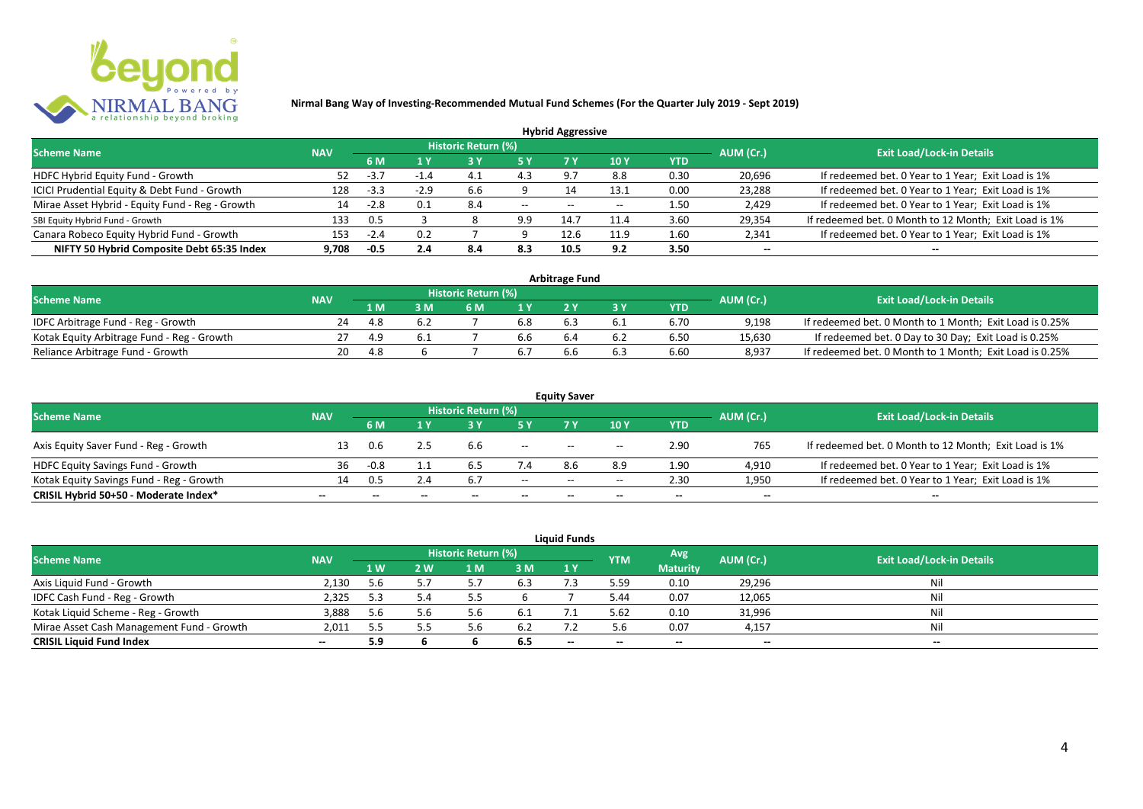

|                                                 |            |        |        |                            |       | <b>Hybrid Aggressive</b> |      |      |                          |                                                       |
|-------------------------------------------------|------------|--------|--------|----------------------------|-------|--------------------------|------|------|--------------------------|-------------------------------------------------------|
| <b>Scheme Name</b>                              | <b>NAV</b> |        |        | <b>Historic Return (%)</b> |       |                          |      |      | AUM (Cr.)                | <b>Exit Load/Lock-in Details</b>                      |
|                                                 |            | 6 M    | 1 Y    | 7 Y<br>10Y<br>YTD          |       |                          |      |      |                          |                                                       |
| HDFC Hybrid Equity Fund - Growth                |            | $-3.7$ | $-1.4$ |                            | 4.3   |                          | 8.8  | 0.30 | 20,696                   | If redeemed bet. 0 Year to 1 Year; Exit Load is 1%    |
| ICICI Prudential Equity & Debt Fund - Growth    | 128        | $-3.3$ | $-2.9$ | 6.6                        |       | 14                       | 13.1 | 0.00 | 23,288                   | If redeemed bet. 0 Year to 1 Year; Exit Load is 1%    |
| Mirae Asset Hybrid - Equity Fund - Reg - Growth | 14         | $-2.8$ | 0.1    | 8.4                        | $- -$ | $-$                      |      | 1.50 | 2,429                    | If redeemed bet. 0 Year to 1 Year; Exit Load is 1%    |
| SBI Equity Hybrid Fund - Growth                 | 133        | 0.5    |        |                            | 9.9   | 14.                      | 11.4 | 3.60 | 29,354                   | If redeemed bet. 0 Month to 12 Month; Exit Load is 1% |
| Canara Robeco Equity Hybrid Fund - Growth       | 153        | -2.4   | 0.2    |                            |       | 12.6                     | 11.9 | 1.60 | 2,341                    | If redeemed bet. 0 Year to 1 Year; Exit Load is 1%    |
| NIFTY 50 Hybrid Composite Debt 65:35 Index      | 9.708      | $-0.5$ | 2.4    | 8.4                        | 8.3   | 10.5                     | 9.2  | 3.50 | $\overline{\phantom{a}}$ | $- -$                                                 |

| <b>Arbitrage Fund</b>                      |            |     |     |                     |     |     |     |            |           |                                                         |
|--------------------------------------------|------------|-----|-----|---------------------|-----|-----|-----|------------|-----------|---------------------------------------------------------|
| <b>Scheme Name</b>                         | <b>NAV</b> |     |     | Historic Return (%) |     |     |     |            | AUM (Cr.) | <b>Exit Load/Lock-in Details</b>                        |
|                                            |            | 1 M |     | 6 M                 |     |     |     | <b>YTD</b> |           |                                                         |
| IDFC Arbitrage Fund - Reg - Growth         | 24         | 4.8 | 6.2 |                     | 6.8 |     |     | 6.70       | 9.198     | If redeemed bet. 0 Month to 1 Month; Exit Load is 0.25% |
| Kotak Equity Arbitrage Fund - Reg - Growth |            | 4.9 |     |                     | b.b | 6.4 | 6.2 | 6.50       | 15,630    | If redeemed bet. 0 Day to 30 Day; Exit Load is 0.25%    |
| Reliance Arbitrage Fund - Growth           | 20         | 4.8 |     |                     |     |     | 6.5 | 6.60       | 8.937     | If redeemed bet. 0 Month to 1 Month; Exit Load is 0.25% |

|                                          |                          |        |                          |                     |                          | <b>Equity Saver</b>                   |                                       |                          |                          |                                                       |
|------------------------------------------|--------------------------|--------|--------------------------|---------------------|--------------------------|---------------------------------------|---------------------------------------|--------------------------|--------------------------|-------------------------------------------------------|
| <b>Scheme Name</b>                       | <b>NAV</b>               |        |                          | Historic Return (%) |                          |                                       |                                       |                          | AUM (Cr.)                | <b>Exit Load/Lock-in Details</b>                      |
|                                          |                          | 6 M    |                          |                     |                          |                                       | 10 Y                                  | YTD                      |                          |                                                       |
| Axis Equity Saver Fund - Reg - Growth    |                          | 0.6    |                          | b.b                 | $\overline{\phantom{a}}$ | $- -$                                 | $\hspace{0.05cm}$ – $\hspace{0.05cm}$ | 2.90                     | 765                      | If redeemed bet. 0 Month to 12 Month; Exit Load is 1% |
| HDFC Equity Savings Fund - Growth        | 36                       | $-0.8$ |                          |                     | 7.4                      | 8.6                                   | 8.9                                   | 1.90                     | 4,910                    | If redeemed bet. 0 Year to 1 Year; Exit Load is 1%    |
| Kotak Equity Savings Fund - Reg - Growth | 14.                      | 0.5    | 2.4                      | 6.7                 | $- -$                    | $\hspace{0.05cm}$ – $\hspace{0.05cm}$ | $- -$                                 | 2.30                     | 1,950                    | If redeemed bet. 0 Year to 1 Year; Exit Load is 1%    |
| CRISIL Hybrid 50+50 - Moderate Index*    | $\overline{\phantom{a}}$ |        | $\overline{\phantom{a}}$ | $\qquad \qquad$     | $\overline{\phantom{a}}$ | $- -$                                 | $\overline{\phantom{a}}$              | $\overline{\phantom{a}}$ | $\overline{\phantom{a}}$ | $\qquad \qquad$                                       |

| <b>Liquid Funds</b>                       |            |                |     |                     |      |    |            |                          |                          |                                  |
|-------------------------------------------|------------|----------------|-----|---------------------|------|----|------------|--------------------------|--------------------------|----------------------------------|
| <b>Scheme Name</b>                        | <b>NAV</b> |                |     | Historic Return (%) |      |    | <b>YTM</b> | Avg                      | AUM (Cr.)                | <b>Exit Load/Lock-in Details</b> |
|                                           |            | 1 <sub>W</sub> | 2 W | 1 M                 | 3 M  | 1Y |            | <b>Maturity</b>          |                          |                                  |
| Axis Liquid Fund - Growth                 | 2,130      | 5.6            |     |                     | 6.3  |    | 5.59       | 0.10                     | 29,296                   | Nil                              |
| IDFC Cash Fund - Reg - Growth             | 2,325      | 5.3            |     |                     |      |    | 5.44       | 0.07                     | 12,065                   | Nil                              |
| Kotak Liquid Scheme - Reg - Growth        | 3,888      | 5.6            |     | b                   | -6.1 |    | 5.62       | 0.10                     | 31,996                   | Nil                              |
| Mirae Asset Cash Management Fund - Growth | 2,011      | 5.5            |     |                     | -6.2 |    | 5.6        | 0.07                     | 4,157                    | Nil                              |
| <b>CRISIL Liquid Fund Index</b>           | $\sim$     | 5.9            |     |                     | 6.5  | -- | $- -$      | $\overline{\phantom{a}}$ | $\overline{\phantom{a}}$ | $-$                              |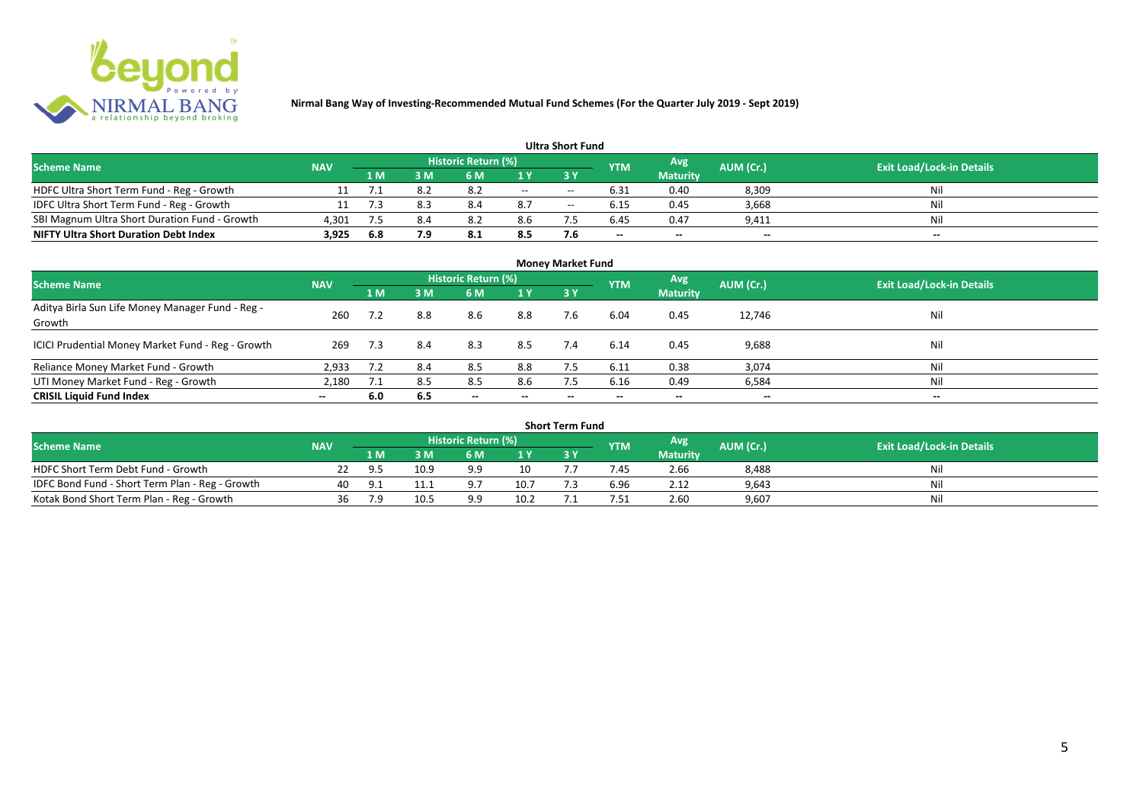

#### **1 M 3 M 6 M 1 Y 3 Y** NDFC Ultra Short Term Fund - Reg - Growth 11 7.1 8.2 8.2 -- - 6.31 0.40 8,309 Nil<br>11 7.3 8.3 8.4 8.7 -- 6.15 0.45 3,668 Nil 1999 IDFC Ultra Short Term Fund - Reg - Growth 11 7.3 8.3 8.4 8.7 -- 6.15 0.45 3,668 Nil 11 7.3 8.4 8.7 -- 6.15 0.45 3,668 Nil 11 7.3 8.4 8.2 8.6 7.5 6.45 0.47 9.411 SBI Magnum Ultra Short Duration Fund - Growth 4,301 7.5 8.4 8.2 8.6 7.5 6.45 0.47 9,411 Nil **NIFTY Ultra Short Duration Debt Index 3,925 6.8 7.9 8.1 8.5 7.6 -- -- -- -- Avg Maturity Historic Return (%) YTM Ultra Short Fund** Scheme Name **NAV NAV Historic Return (%)** NAV Historic Return (%) Note and the May AUM (Cr.) Exit Load/Lock-in Details<br>The Scheme Name of the State Load/Lock-in Details

| <b>Money Market Fund</b>                                   |            |     |     |                            |                          |           |            |                 |                          |                                  |
|------------------------------------------------------------|------------|-----|-----|----------------------------|--------------------------|-----------|------------|-----------------|--------------------------|----------------------------------|
| <b>Scheme Name</b>                                         | <b>NAV</b> |     |     | <b>Historic Return (%)</b> |                          |           | <b>YTM</b> | Avg             | AUM (Cr.)                | <b>Exit Load/Lock-in Details</b> |
|                                                            |            | 1 M | 3M  | 6 M                        | 1 Y                      | <b>3Y</b> |            | <b>Maturity</b> |                          |                                  |
| Aditya Birla Sun Life Money Manager Fund - Reg -<br>Growth | 260        |     | 8.8 | 8.6                        | 8.8                      | 7.6       | 6.04       | 0.45            | 12,746                   | Nil                              |
| ICICI Prudential Money Market Fund - Reg - Growth          | 269        | 7.3 | 8.4 | 8.3                        | 8.5                      | 7.4       | 6.14       | 0.45            | 9,688                    | Nil                              |
| Reliance Money Market Fund - Growth                        | 2,933      | 7.2 | 8.4 | 8.5                        | 8.8                      |           | 6.11       | 0.38            | 3,074                    | Nil                              |
| UTI Money Market Fund - Reg - Growth                       | 2,180      | 7.1 | 8.5 | 8.5                        | 8.6                      | 7.5       | 6.16       | 0.49            | 6,584                    | Nil                              |
| <b>CRISIL Liquid Fund Index</b>                            | $- -$      | 6.0 | 6.5 | $\overline{\phantom{a}}$   | $\overline{\phantom{a}}$ | $\!-$     | $\!-$      | $\sim$          | $\overline{\phantom{a}}$ | $\overline{\phantom{a}}$         |

| Short Term Fund                                 |            |     |      |                     |                |  |            |                 |           |                                  |
|-------------------------------------------------|------------|-----|------|---------------------|----------------|--|------------|-----------------|-----------|----------------------------------|
| <b>Scheme Name</b>                              | <b>NAV</b> |     |      | Historic Return (%) |                |  | <b>YTM</b> | Avg             | AUM (Cr.) | <b>Exit Load/Lock-in Details</b> |
|                                                 |            | 1 M | 3 M  | 6 M                 | 1 <sub>V</sub> |  |            | <b>Maturity</b> |           |                                  |
| HDFC Short Term Debt Fund - Growth              |            |     | 10.9 |                     | 10             |  | .45        | 2.66            | 8,488     | Nil                              |
| IDFC Bond Fund - Short Term Plan - Reg - Growth | 40         |     |      |                     | 10.7           |  | 6.96       | 2.12            | 9,643     | Nil                              |
| Kotak Bond Short Term Plan - Reg - Growth       | 36         | 7 Q | 10.5 | a a                 | 10.2           |  | .51        | 2.60            | 9,607     | Nil                              |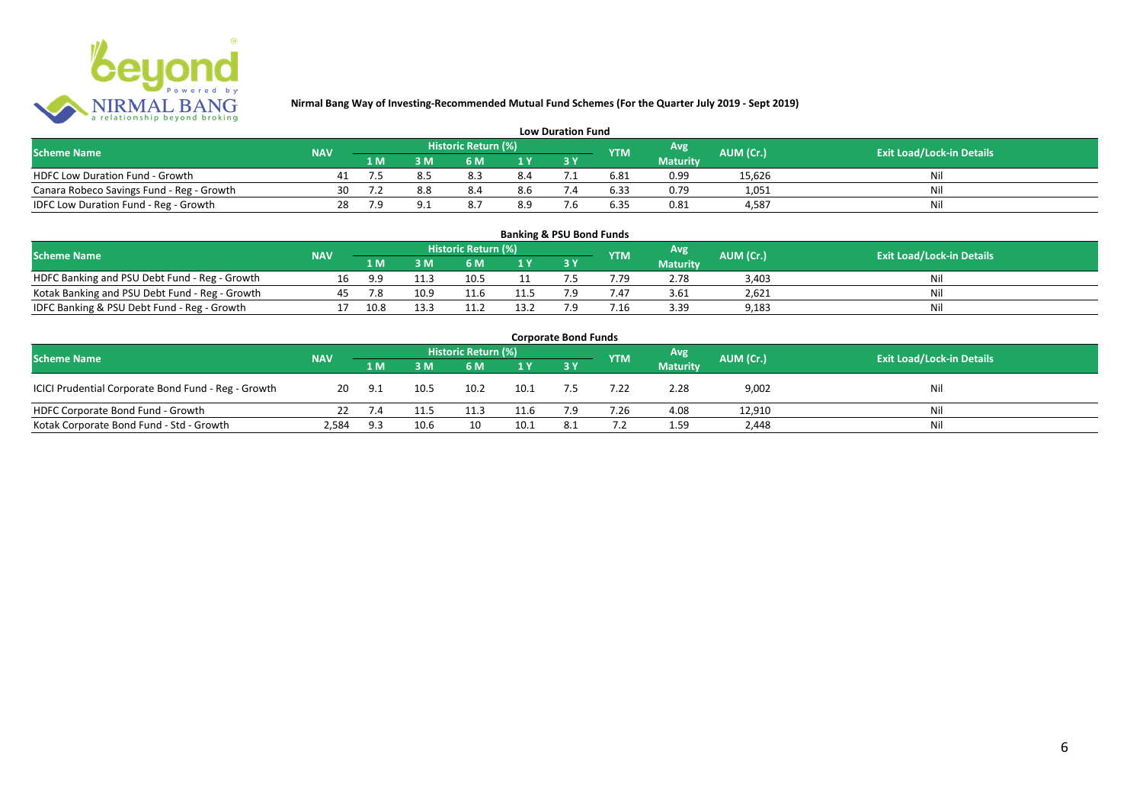

| <b>Low Duration Fund</b>                  |            |     |     |                     |     |  |            |                 |           |                                  |
|-------------------------------------------|------------|-----|-----|---------------------|-----|--|------------|-----------------|-----------|----------------------------------|
| <b>Scheme Name</b>                        | <b>NAV</b> |     |     | Historic Return (%) |     |  | <b>YTM</b> | Avg             | AUM (Cr.) | <b>Exit Load/Lock-in Details</b> |
|                                           |            | 1 M |     | 6 M                 |     |  |            | <b>Maturity</b> |           |                                  |
| <b>HDFC Low Duration Fund - Growth</b>    |            |     |     | 8.3                 | 8.4 |  | 6.81       | 0.99            | 15,626    | Nli                              |
| Canara Robeco Savings Fund - Reg - Growth | 30         |     | 8.8 | 8.4                 | 8.6 |  | 6.33       | 0.79            | 1,051     | Ni                               |
| IDFC Low Duration Fund - Reg - Growth     | 28         | 7.9 |     |                     | 8.9 |  | 6.35       | 0.81            | 4.587     | Ni                               |

| <b>Banking &amp; PSU Bond Funds</b>            |            |      |      |                     |                |     |                 |                 |           |                                  |
|------------------------------------------------|------------|------|------|---------------------|----------------|-----|-----------------|-----------------|-----------|----------------------------------|
| <b>Scheme Name</b>                             | <b>NAV</b> |      |      | Historic Return (%) |                |     | <b>YTM</b>      | Avg             | AUM (Cr.) | <b>Exit Load/Lock-in Details</b> |
|                                                |            | 1 M  |      | 6 M                 | 1 <sub>Y</sub> |     |                 | <b>Maturity</b> |           |                                  |
| HDFC Banking and PSU Debt Fund - Reg - Growth  | 16         | 9.9  |      | 10.5                |                |     | 1.79            | 2.78            | 3.403     | Nil                              |
| Kotak Banking and PSU Debt Fund - Reg - Growth |            | 7.8  | 10.9 | 11.6                | 11.'           |     | 7.47            | 3.61            | 2,621     | Nil                              |
| IDFC Banking & PSU Debt Fund - Reg - Growth    |            | 10.8 | 13.3 | 11.2                | 13.2           | ה ד | $^{\prime}$ .16 | 3.39            | 9,183     | Nil                              |

| <b>Corporate Bond Funds</b>                         |            |     |      |                     |      |     |            |                 |           |                                  |
|-----------------------------------------------------|------------|-----|------|---------------------|------|-----|------------|-----------------|-----------|----------------------------------|
| <b>Scheme Name</b>                                  | <b>NAV</b> |     |      | Historic Return (%) |      |     | <b>YTM</b> | <b>Avg</b>      | AUM (Cr.) | <b>Exit Load/Lock-in Details</b> |
|                                                     |            | 1 M | 3 M  | 6 M                 | 1Y   |     |            | <b>Maturity</b> |           |                                  |
| ICICI Prudential Corporate Bond Fund - Reg - Growth | 20         | 9.1 | 10.5 | 10.2                | 10.1 |     | 7.22       | 2.28            | 9,002     | Nil                              |
| HDFC Corporate Bond Fund - Growth                   |            |     | 11.5 | 11.3                | 11.6 | 7.9 | 7.26       | 4.08            | 12,910    | Ni'                              |
| Kotak Corporate Bond Fund - Std - Growth            | 2,584      | 9.3 | 10.6 |                     | 10.1 | 8.1 |            | 1.59            | 2,448     | Nil                              |